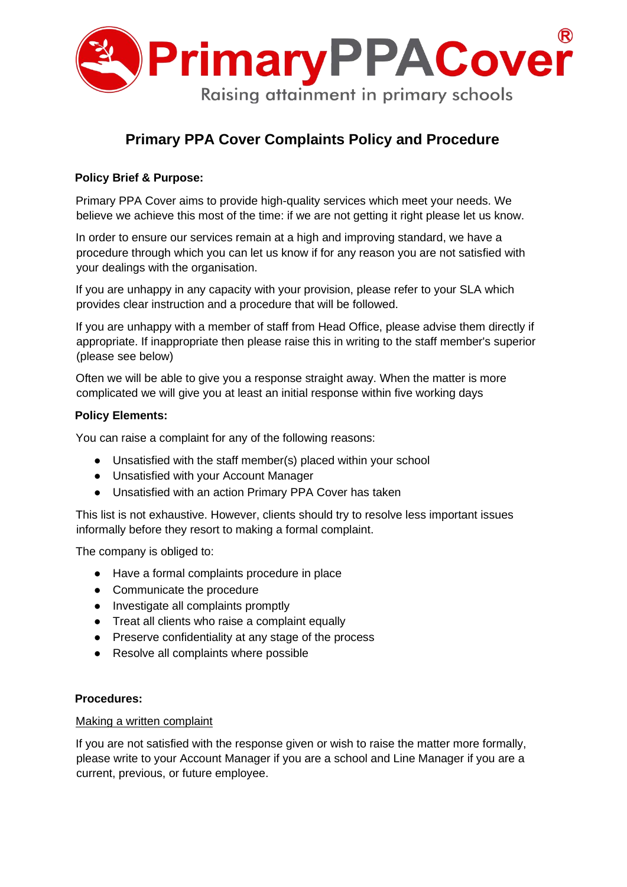

# **Primary PPA Cover Complaints Policy and Procedure**

# **Policy Brief & Purpose:**

Primary PPA Cover aims to provide high-quality services which meet your needs. We believe we achieve this most of the time: if we are not getting it right please let us know.

In order to ensure our services remain at a high and improving standard, we have a procedure through which you can let us know if for any reason you are not satisfied with your dealings with the organisation.

If you are unhappy in any capacity with your provision, please refer to your SLA which provides clear instruction and a procedure that will be followed.

If you are unhappy with a member of staff from Head Office, please advise them directly if appropriate. If inappropriate then please raise this in writing to the staff member's superior (please see below)

Often we will be able to give you a response straight away. When the matter is more complicated we will give you at least an initial response within five working days

#### **Policy Elements:**

You can raise a complaint for any of the following reasons:

- Unsatisfied with the staff member(s) placed within your school
- Unsatisfied with your Account Manager
- Unsatisfied with an action Primary PPA Cover has taken

This list is not exhaustive. However, clients should try to resolve less important issues informally before they resort to making a formal complaint.

The company is obliged to:

- Have a formal complaints procedure in place
- Communicate the procedure
- Investigate all complaints promptly
- Treat all clients who raise a complaint equally
- Preserve confidentiality at any stage of the process
- Resolve all complaints where possible

#### **Procedures:**

#### Making a written complaint

If you are not satisfied with the response given or wish to raise the matter more formally, please write to your Account Manager if you are a school and Line Manager if you are a current, previous, or future employee.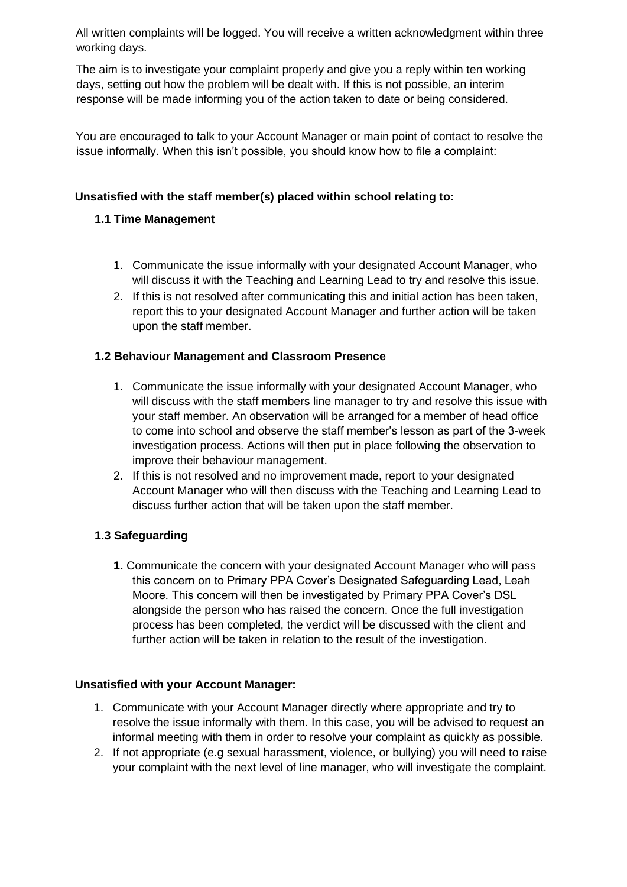All written complaints will be logged. You will receive a written acknowledgment within three working days.

The aim is to investigate your complaint properly and give you a reply within ten working days, setting out how the problem will be dealt with. If this is not possible, an interim response will be made informing you of the action taken to date or being considered.

You are encouraged to talk to your Account Manager or main point of contact to resolve the issue informally. When this isn't possible, you should know how to file a complaint:

# **Unsatisfied with the staff member(s) placed within school relating to:**

## **1.1 Time Management**

- 1. Communicate the issue informally with your designated Account Manager, who will discuss it with the Teaching and Learning Lead to try and resolve this issue.
- 2. If this is not resolved after communicating this and initial action has been taken, report this to your designated Account Manager and further action will be taken upon the staff member.

## **1.2 Behaviour Management and Classroom Presence**

- 1. Communicate the issue informally with your designated Account Manager, who will discuss with the staff members line manager to try and resolve this issue with your staff member. An observation will be arranged for a member of head office to come into school and observe the staff member's lesson as part of the 3-week investigation process. Actions will then put in place following the observation to improve their behaviour management.
- 2. If this is not resolved and no improvement made, report to your designated Account Manager who will then discuss with the Teaching and Learning Lead to discuss further action that will be taken upon the staff member.

## **1.3 Safeguarding**

**1.** Communicate the concern with your designated Account Manager who will pass this concern on to Primary PPA Cover's Designated Safeguarding Lead, Leah Moore. This concern will then be investigated by Primary PPA Cover's DSL alongside the person who has raised the concern. Once the full investigation process has been completed, the verdict will be discussed with the client and further action will be taken in relation to the result of the investigation.

#### **Unsatisfied with your Account Manager:**

- 1. Communicate with your Account Manager directly where appropriate and try to resolve the issue informally with them. In this case, you will be advised to request an informal meeting with them in order to resolve your complaint as quickly as possible.
- 2. If not appropriate (e.g sexual harassment, violence, or bullying) you will need to raise your complaint with the next level of line manager, who will investigate the complaint.